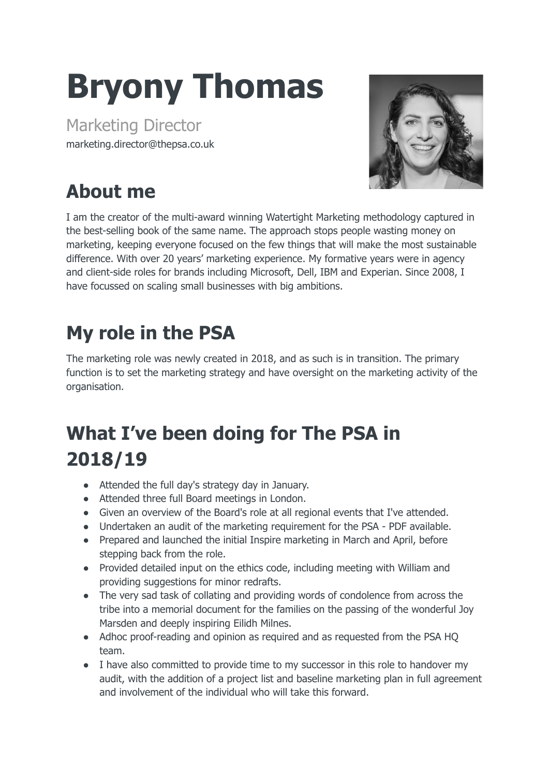# **Bryony Thomas**

Marketing Director marketing.director@thepsa.co.uk



# **About me**

I am the creator of the multi-award winning Watertight Marketing methodology captured in the best-selling book of the same name. The approach stops people wasting money on marketing, keeping everyone focused on the few things that will make the most sustainable difference. With over 20 years' marketing experience. My formative years were in agency and client-side roles for brands including Microsoft, Dell, IBM and Experian. Since 2008, I have focussed on scaling small businesses with big ambitions.

### **My role in the PSA**

The marketing role was newly created in 2018, and as such is in transition. The primary function is to set the marketing strategy and have oversight on the marketing activity of the organisation.

## **What I've been doing for The PSA in 2018/19**

- Attended the full day's strategy day in January.
- Attended three full Board meetings in London.
- Given an overview of the Board's role at all regional events that I've attended.
- Undertaken an audit of the marketing requirement for the PSA PDF available.
- Prepared and launched the initial Inspire marketing in March and April, before stepping back from the role.
- Provided detailed input on the ethics code, including meeting with William and providing suggestions for minor redrafts.
- The very sad task of collating and providing words of condolence from across the tribe into a memorial document for the families on the passing of the wonderful Joy Marsden and deeply inspiring Eilidh Milnes.
- Adhoc proof-reading and opinion as required and as requested from the PSA HQ team.
- I have also committed to provide time to my successor in this role to handover my audit, with the addition of a project list and baseline marketing plan in full agreement and involvement of the individual who will take this forward.